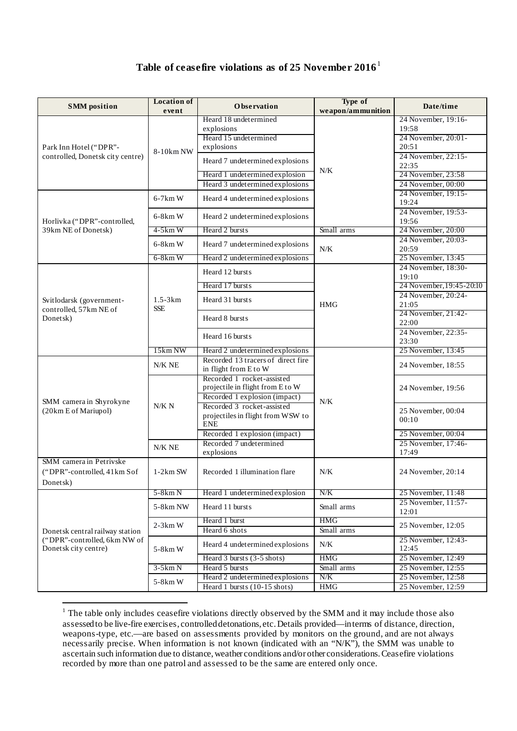## **Table of ceasefire violations as of 25 November 2016**[1](#page-0-0)

| <b>SMM</b> position                                                                     | <b>Location of</b><br>event | <b>Observation</b>                                              | Type of<br>weapon/ammunition | Date/time                                       |
|-----------------------------------------------------------------------------------------|-----------------------------|-----------------------------------------------------------------|------------------------------|-------------------------------------------------|
| Park Inn Hotel ("DPR"-                                                                  | 8-10km NW                   | Heard 18 undetermined<br>explosions                             | N/K                          | 24 November, 19:16-<br>19:58                    |
|                                                                                         |                             | Heard 15 undetermined<br>explosions                             |                              | 24 November, 20:01-<br>20:51                    |
| controlled, Donetsk city centre)                                                        |                             | Heard 7 undetermined explosions                                 |                              | 24 November, 22:15-                             |
|                                                                                         |                             | Heard 1 undetermined explosion                                  |                              | 22:35<br>24 November, 23:58                     |
|                                                                                         |                             | Heard 3 undetermined explosions                                 |                              | 24 November, 00:00                              |
|                                                                                         |                             |                                                                 |                              | 24 November, 19:15-                             |
|                                                                                         | $6-7km$ W                   | Heard 4 undetermined explosions                                 |                              | 19:24                                           |
| Horlivka ("DPR"-controlled,                                                             | $6-8km$ W                   | Heard 2 undetermined explosions                                 |                              | 24 November, 19:53-<br>19:56                    |
| 39km NE of Donetsk)                                                                     | $4-5km$ W                   | Heard 2 bursts                                                  | Small arms                   | 24 November, 20:00                              |
|                                                                                         | $6-8km$ W                   | Heard 7 undetermined explosions                                 | N/K                          | 24 November, 20:03-                             |
|                                                                                         | 6-8km W                     | Heard 2 undetermined explosions                                 |                              | 20:59<br>25 November, 13:45                     |
|                                                                                         |                             | Heard 12 bursts                                                 |                              | 24 November, 18:30-                             |
|                                                                                         |                             |                                                                 |                              | 19:10                                           |
|                                                                                         |                             | Heard 17 bursts                                                 |                              | 24 November, 19:45-20:10<br>24 November, 20:24- |
| Svitlodarsk (government-                                                                | $1.5 - 3km$                 | Heard 31 bursts                                                 | <b>HMG</b>                   | 21:05                                           |
| controlled, 57km NE of<br>Donetsk)                                                      | <b>SSE</b>                  | Heard 8 bursts                                                  |                              | 24 November, 21:42-                             |
|                                                                                         |                             |                                                                 |                              | 22:00                                           |
|                                                                                         |                             | Heard 16 bursts                                                 |                              | 24 November, 22:35-<br>23:30                    |
|                                                                                         | 15km NW                     | Heard 2 undetermined explosions                                 |                              | 25 November, 13:45                              |
|                                                                                         | N/K NE                      | Recorded 13 tracers of direct fire                              | N/K                          | 24 November, 18:55                              |
|                                                                                         |                             | in flight from E to W<br>Recorded 1 rocket-assisted             |                              |                                                 |
|                                                                                         | N/K N<br>N/K NE             | projectile in flight from E to W                                |                              | 24 November, 19:56                              |
| SMM camera in Shyrokyne                                                                 |                             | Recorded 1 explosion (impact)                                   |                              |                                                 |
| (20km E of Mariupol)                                                                    |                             | Recorded 3 rocket-assisted                                      |                              | 25 November, 00:04                              |
|                                                                                         |                             | projectiles in flight from WSW to<br><b>ENE</b>                 |                              | 00:10                                           |
|                                                                                         |                             | Recorded 1 explosion (impact)                                   |                              | 25 November, 00:04                              |
|                                                                                         |                             | Recorded 7 undetermined                                         |                              | 25 November, 17:46-                             |
| SMM camera in Petrivske                                                                 |                             | explosions                                                      |                              | 17:49                                           |
| ("DPR"-controlled, 41km Sof                                                             | $1-2km$ SW                  | Recorded 1 illumination flare                                   | N/K                          | 24 November, 20:14                              |
| Donetsk)                                                                                |                             |                                                                 |                              |                                                 |
|                                                                                         | $5-8km N$                   | Heard 1 undetermined explosion                                  | N/K                          | 25 November, 11:48                              |
|                                                                                         | 5-8km NW                    | Heard 11 bursts                                                 | Small arms                   | 25 November, 11:57-<br>12:01                    |
| Donetsk central railway station<br>("DPR"-controlled, 6km NW of<br>Donetsk city centre) | $2-3km$ W                   | Heard 1 burst                                                   | <b>HMG</b>                   |                                                 |
|                                                                                         |                             | Heard 6 shots                                                   | Small arms                   | 25 November, 12:05                              |
|                                                                                         | 5-8km W                     | Heard 4 undetermined explosions                                 | $N/K$                        | 25 November, 12:43-<br>12:45                    |
|                                                                                         |                             | Heard 3 bursts (3-5 shots)                                      | <b>HMG</b>                   | 25 November, 12:49                              |
|                                                                                         | $3-5km N$                   | Heard 5 bursts                                                  | Small arms                   | 25 November, 12:55                              |
|                                                                                         | 5-8km W                     | Heard 2 undetermined explosions<br>Heard 1 bursts (10-15 shots) | N/K<br><b>HMG</b>            | 25 November, 12:58<br>25 November, 12:59        |
|                                                                                         |                             |                                                                 |                              |                                                 |

<span id="page-0-0"></span><sup>&</sup>lt;sup>1</sup> The table only includes ceasefire violations directly observed by the SMM and it may include those also assessed to be live-fire exercises, controlled detonations, etc. Details provided—in terms of distance, direction, weapons-type, etc.—are based on assessments provided by monitors on the ground, and are not always necessarily precise. When information is not known (indicated with an "N/K"), the SMM was unable to ascertain such information due to distance, weather conditions and/or other considerations. Ceasefire violations recorded by more than one patrol and assessed to be the same are entered only once.

1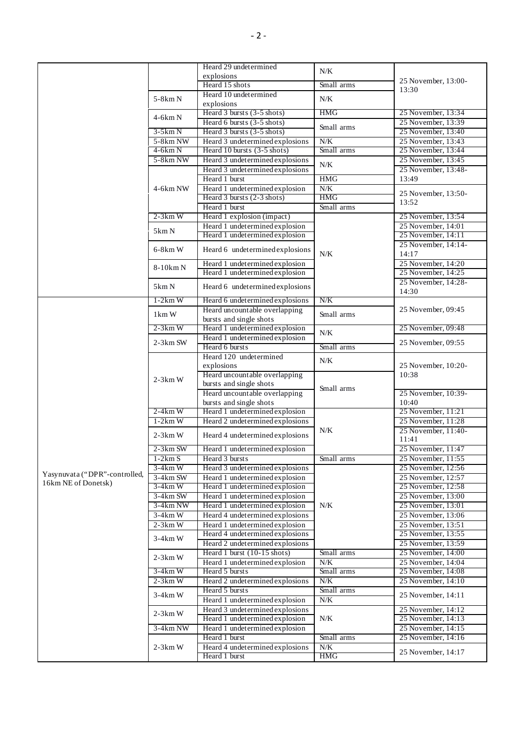|                               |                        | Heard 29 undetermined                                             |                   |                                          |
|-------------------------------|------------------------|-------------------------------------------------------------------|-------------------|------------------------------------------|
|                               |                        | explosions                                                        | N/K               |                                          |
|                               |                        | Heard 15 shots                                                    | Small arms        | 25 November, 13:00-                      |
|                               |                        | Heard 10 undetermined                                             |                   | 13:30                                    |
|                               | 5-8km N                | explosions                                                        | N/K               |                                          |
|                               |                        | Heard $3 \text{ bursts} (3-5 \text{ shots})$                      | HMG               | 25 November, 13:34                       |
|                               | $4-6km N$              | Heard 6 bursts (3-5 shots)                                        |                   | 25 November, 13:39                       |
|                               | $3-5km N$              | Heard 3 bursts (3-5 shots)                                        | Small arms        | 25 November, 13:40                       |
|                               | 5-8km NW               | Heard 3 undetermined explosions                                   | N/K               | 25 November, 13:43                       |
|                               | 4-6km N                | Heard 10 bursts (3-5 shots)                                       | Small arms        | 25 November, 13:44                       |
|                               | 5-8km NW               | Heard 3 undetermined explosions                                   |                   | 25 November, 13:45                       |
|                               |                        | Heard 3 undetermined explosions                                   | $N/K$             | 25 November, 13:48-                      |
|                               |                        | Heard 1 burst                                                     | <b>HMG</b>        | 13:49                                    |
|                               | 4-6km NW               | Heard 1 undetermined explosion                                    | N/K               |                                          |
|                               |                        | Heard 3 bursts (2-3 shots)                                        | <b>HMG</b>        | 25 November, 13:50-<br>13:52             |
|                               |                        | Heard 1 burst                                                     | Small arms        |                                          |
|                               | $2-3km$ W              | Heard 1 explosion (impact)                                        |                   | 25 November, 13:54                       |
|                               |                        | Heard 1 undetermined explosion                                    |                   | 25 November, 14:01                       |
|                               | 5km N                  | Heard 1 undetermined explosion                                    |                   | 25 November, 14:11                       |
|                               |                        |                                                                   |                   | 25 November, 14:14-                      |
|                               | $6-8km$ W              | Heard 6 undetermined explosions                                   | N/K               | 14:17                                    |
|                               | 8-10km N               | Heard 1 undetermined explosion                                    |                   | 25 November, 14:20                       |
|                               |                        | Heard 1 undetermined explosion                                    |                   | 25 November, 14:25                       |
|                               | 5km N                  | Heard 6 undetermined explosions                                   |                   | 25 November, 14:28-                      |
|                               |                        |                                                                   |                   | 14:30                                    |
|                               | $1-2km$ W              | Heard 6 undetermined explosions                                   | N/K               |                                          |
|                               | $1 \text{km} \text{W}$ | Heard uncountable overlapping                                     | Small arms        | 25 November, 09:45                       |
|                               |                        | bursts and single shots                                           |                   |                                          |
|                               | $2-3km$ W              | Heard 1 undetermined explosion                                    | $N/K$             | 25 November, 09:48                       |
|                               | $2-3km$ SW             | Heard 1 undetermined explosion                                    |                   | 25 November, 09:55                       |
|                               |                        | Heard 6 bursts                                                    | Small arms        |                                          |
|                               | $2-3km$ W              | Heard 120 undetermined                                            | N/K               |                                          |
|                               |                        | explosions                                                        |                   | 25 November, 10:20-                      |
|                               |                        | Heard uncountable overlapping                                     | Small arms        | 10:38                                    |
|                               |                        | bursts and single shots                                           |                   |                                          |
|                               |                        | Heard uncountable overlapping                                     |                   | 25 November, 10:39-                      |
|                               |                        | bursts and single shots                                           |                   | 10:40                                    |
|                               | $2-4km$ W              | Heard 1 undetermined explosion                                    |                   | 25 November, 11:21                       |
|                               | $1-2km$ W              | Heard 2 undetermined explosions                                   |                   | 25 November, 11:28                       |
|                               | $2-3km$ W              | Heard 4 undetermined explosions                                   | $N/K$             | 25 November, 11:40-                      |
|                               |                        |                                                                   |                   | 11:41                                    |
|                               | $2 - 3km$ SW           | Heard 1 undetermined explosion                                    |                   | 25 November, 11:47                       |
|                               | $1-2km S$              | Heard 3 bursts                                                    | Small arms        | 25 November, 11:55                       |
| Yasynuvata ("DPR"-controlled, | $3-4km$ W              | Heard 3 undetermined explosions                                   |                   | 25 November, 12:56                       |
| 16km NE of Donetsk)           | 3-4km SW               | Heard 1 undetermined explosion                                    |                   | 25 November, 12:57                       |
|                               | 3-4km W                | Heard 1 undetermined explosion                                    |                   | 25 November, 12:58                       |
|                               | 3-4km SW<br>3-4km NW   | Heard 1 undetermined explosion                                    | N/K               | 25 November, 13:00                       |
|                               |                        | Heard 1 undetermined explosion<br>Heard 4 undetermined explosions |                   | 25 November, 13:01                       |
|                               | $3-4km$ W<br>$2-3km$ W |                                                                   |                   | 25 November, 13:06<br>25 November, 13:51 |
|                               |                        | Heard 1 undetermined explosion<br>Heard 4 undetermined explosions |                   | 25 November, 13:55                       |
|                               | $3-4km$ W              | Heard 2 undetermined explosions                                   |                   | 25 November, 13:59                       |
|                               |                        | Heard 1 burst (10-15 shots)                                       | Small arms        | 25 November, 14:00                       |
|                               | $2-3km$ W              |                                                                   |                   |                                          |
|                               | $3-4km$ W              | Heard 1 undetermined explosion<br>Heard 5 bursts                  | N/K<br>Small arms | 25 November, 14:04<br>25 November, 14:08 |
|                               | $2-3km$ W              | Heard 2 undetermined explosions                                   | N/K               |                                          |
|                               |                        | Heard 5 bursts                                                    | Small arms        | 25 November, 14:10                       |
|                               | $3-4km$ W              | Heard 1 undetermined explosion                                    | N/K               | 25 November, 14:11                       |
|                               |                        |                                                                   |                   |                                          |
|                               | $2-3km$ W              | Heard 3 undetermined explosions<br>Heard 1 undetermined explosion | N/K               | 25 November, 14:12                       |
|                               |                        |                                                                   |                   | 25 November, 14:13                       |
|                               | 3-4km NW               | Heard 1 undetermined explosion<br>Heard 1 burst                   | Small arms        | 25 November, 14:15<br>25 November, 14:16 |
|                               | $2-3km$ W              |                                                                   |                   |                                          |
|                               |                        | Heard 4 undetermined explosions<br>Heard 1 burst                  | N/K<br><b>HMG</b> | 25 November, 14:17                       |
|                               |                        |                                                                   |                   |                                          |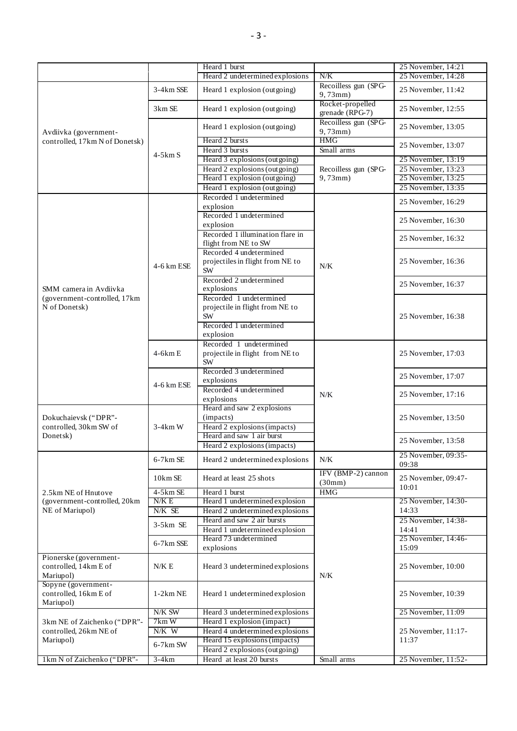|                                                                    |              | Heard 1 burst                    |                                       | 25 November, 14:21           |
|--------------------------------------------------------------------|--------------|----------------------------------|---------------------------------------|------------------------------|
|                                                                    |              | Heard 2 undetermined explosions  | N/K                                   | 25 November, 14:28           |
| Avdiivka (government-                                              | 3-4km SSE    | Heard 1 explosion (outgoing)     | Recoilless gun (SPG-<br>$9,73$ mm $)$ | 25 November, 11:42           |
|                                                                    | 3km SE       | Heard 1 explosion (outgoing)     | Rocket-propelled<br>grenade (RPG-7)   | 25 November, 12:55           |
|                                                                    |              | Heard 1 explosion (outgoing)     | Recoilless gun (SPG-<br>$9,73$ mm $)$ | 25 November, 13:05           |
| controlled, 17km N of Donetsk)                                     |              | Heard 2 bursts                   | <b>HMG</b>                            | 25 November, 13:07           |
|                                                                    | $4-5km S$    | Heard 3 bursts                   | Small arms                            |                              |
|                                                                    |              | Heard 3 explosions (outgoing)    | Recoilless gun (SPG-<br>$9,73$ mm $)$ | 25 November, 13:19           |
|                                                                    |              | Heard 2 explosions (outgoing)    |                                       | 25 November, 13:23           |
|                                                                    |              | Heard 1 explosion (outgoing)     |                                       | 25 November, 13:25           |
|                                                                    |              | Heard 1 explosion (outgoing)     |                                       | 25 November, 13:35           |
|                                                                    |              | Recorded 1 undetermined          |                                       | 25 November, 16:29           |
|                                                                    |              | explosion                        |                                       |                              |
|                                                                    |              | Recorded 1 undetermined          |                                       | 25 November, 16:30           |
|                                                                    |              | explosion                        |                                       |                              |
|                                                                    |              | Recorded 1 illumination flare in |                                       | 25 November, 16:32           |
|                                                                    |              | flight from NE to SW             |                                       |                              |
|                                                                    |              | Recorded 4 undetermined          |                                       |                              |
|                                                                    | 4-6 km ESE   | projectiles in flight from NE to | N/K                                   | 25 November, 16:36           |
|                                                                    |              | <b>SW</b>                        |                                       |                              |
|                                                                    |              | Recorded 2 undetermined          |                                       |                              |
| SMM camera in Avdiivka                                             |              | explosions                       |                                       | 25 November, 16:37           |
| (government-controlled, 17km                                       |              | Recorded 1 undetermined          |                                       |                              |
| N of Donetsk)                                                      |              | projectile in flight from NE to  |                                       |                              |
|                                                                    |              | <b>SW</b>                        |                                       | 25 November, 16:38           |
|                                                                    |              | Recorded 1 undetermined          |                                       |                              |
|                                                                    |              | explosion                        |                                       |                              |
|                                                                    |              | Recorded 1 undetermined          |                                       |                              |
|                                                                    | $4-6kmE$     | projectile in flight from NE to  | N/K<br>N/K                            | 25 November, 17:03           |
|                                                                    |              | <b>SW</b>                        |                                       |                              |
|                                                                    | 4-6 km ESE   | Recorded 3 undetermined          |                                       |                              |
|                                                                    |              | explosions                       |                                       | 25 November, 17:07           |
|                                                                    |              | Recorded 4 undetermined          |                                       | 25 November, 17:16           |
|                                                                    |              | explosions                       |                                       |                              |
|                                                                    |              | Heard and saw 2 explosions       |                                       |                              |
| Dokuchaievsk ("DPR"-                                               |              | (impacts)                        |                                       | 25 November, 13:50           |
| controlled, 30km SW of                                             | $3-4km$ W    | Heard 2 explosions (impacts)     |                                       |                              |
| Donetsk)                                                           |              | Heard and saw 1 air burst        |                                       |                              |
|                                                                    |              | Heard 2 explosions (impacts)     |                                       | 25 November, 13:58           |
|                                                                    | $6 - 7km$ SE | Heard 2 undetermined explosions  |                                       | 25 November, 09:35-          |
|                                                                    |              |                                  |                                       | 09:38                        |
|                                                                    |              |                                  | IFV (BMP-2) cannon                    |                              |
| 2.5km NE of Hnutove                                                | $10km$ SE    | Heard at least 25 shots          | (30mm)                                | 25 November, 09:47-<br>10:01 |
|                                                                    | $4-5km$ SE   | Heard 1 burst                    | <b>HMG</b>                            |                              |
| (government-controlled, 20km)                                      | N/K E        | Heard 1 undetermined explosion   |                                       | 25 November, 14:30-          |
| NE of Mariupol)                                                    | N/K SE       | Heard 2 undetermined explosions  |                                       | 14:33                        |
|                                                                    | $3-5km$ SE   | Heard and saw 2 air bursts       |                                       | 25 November, 14:38-          |
|                                                                    |              | Heard 1 undetermined explosion   |                                       | 14:41                        |
|                                                                    | 6-7km SSE    | Heard 73 undetermined            |                                       | 25 November, 14:46-          |
|                                                                    |              | explosions                       |                                       | 15:09                        |
| Pionerske (government-                                             |              |                                  |                                       |                              |
| controlled, 14km E of                                              | N/K E        | Heard 3 undetermined explosions  |                                       | 25 November, 10:00           |
| Mariupol)                                                          |              |                                  | N/K                                   |                              |
| Sopyne (government-                                                |              |                                  |                                       |                              |
| controlled, 16km E of                                              | $1-2km$ NE   | Heard 1 undetermined explosion   |                                       | 25 November, 10:39           |
| Mariupol)                                                          |              |                                  |                                       |                              |
|                                                                    | N/K SW       | Heard 3 undetermined explosions  |                                       | 25 November, 11:09           |
| 3km NE of Zaichenko ("DPR"-<br>controlled, 26km NE of<br>Mariupol) | 7km W        | Heard 1 explosion (impact)       |                                       |                              |
|                                                                    | N/K W        | Heard 4 undetermined explosions  |                                       | 25 November, 11:17-          |
|                                                                    | $6-7km$ SW   | Heard 15 explosions (impacts)    |                                       | 11:37                        |
|                                                                    |              | Heard 2 explosions (outgoing)    |                                       |                              |
| 1km N of Zaichenko ("DPR"-                                         | $3-4km$      | Heard at least 20 bursts         | Small arms                            | 25 November, 11:52-          |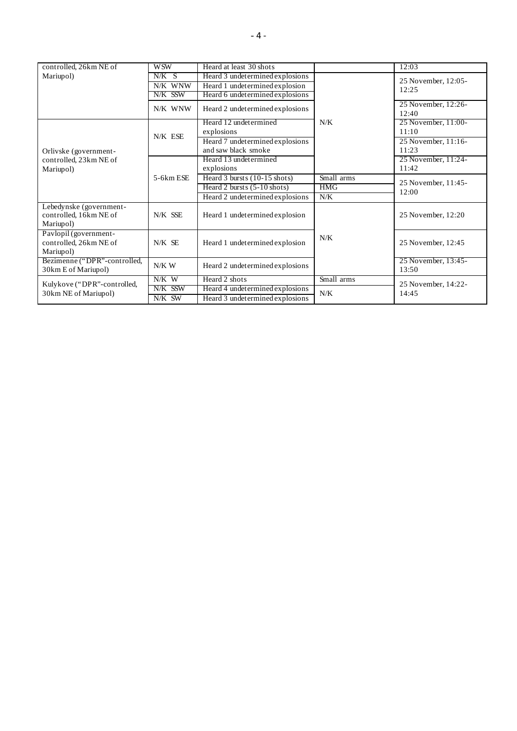| controlled, 26km NE of                                         | <b>WSW</b> | Heard at least 30 shots         |            | 12:03                        |
|----------------------------------------------------------------|------------|---------------------------------|------------|------------------------------|
| Mariupol)                                                      | $N/K$ S    | Heard 3 undetermined explosions |            | 25 November, 12:05-          |
|                                                                | N/K WNW    | Heard 1 undetermined explosion  |            | 12:25                        |
|                                                                | N/K SSW    | Heard 6 undetermined explosions |            |                              |
|                                                                | N/K WNW    | Heard 2 undetermined explosions |            | 25 November, 12:26-<br>12:40 |
|                                                                | N/K ESE    | Heard 12 undetermined           | N/K        | 25 November, 11:00-          |
|                                                                |            | explosions                      |            | 11:10                        |
|                                                                |            | Heard 7 undetermined explosions |            | 25 November, 11:16-          |
| Orlivske (government-<br>controlled, 23km NE of<br>Mariupol)   |            | and saw black smoke             |            | 11:23                        |
|                                                                | 5-6km ESE  | Heard 13 undetermined           |            | 25 November, 11:24-          |
|                                                                |            | explosions                      |            | 11:42                        |
|                                                                |            | Heard 3 bursts (10-15 shots)    | Small arms | 25 November, 11:45-<br>12:00 |
|                                                                |            | Heard 2 bursts $(5-10$ shots)   | <b>HMG</b> |                              |
|                                                                |            | Heard 2 undetermined explosions | N/K        |                              |
| Lebedynske (government-<br>controlled, 16km NE of<br>Mariupol) | N/K SSE    | Heard 1 undetermined explosion  |            | 25 November, 12:20           |
| Pavlopil (government-<br>controlled, 26km NE of<br>Mariupol)   | N/K SE     | Heard 1 undetermined explosion  | N/K        | 25 November, 12:45           |
| Bezimenne ("DPR"-controlled,<br>30km E of Mariupol)            | $N/K$ W    | Heard 2 undetermined explosions |            | 25 November, 13:45-<br>13:50 |
| Kulykove ("DPR"-controlled,<br>30km NE of Mariupol)            | N/K W      | Heard 2 shots                   | Small arms | 25 November, 14:22-<br>14:45 |
|                                                                | N/K SSW    | Heard 4 undetermined explosions | N/K        |                              |
|                                                                | N/K SW     | Heard 3 undetermined explosions |            |                              |